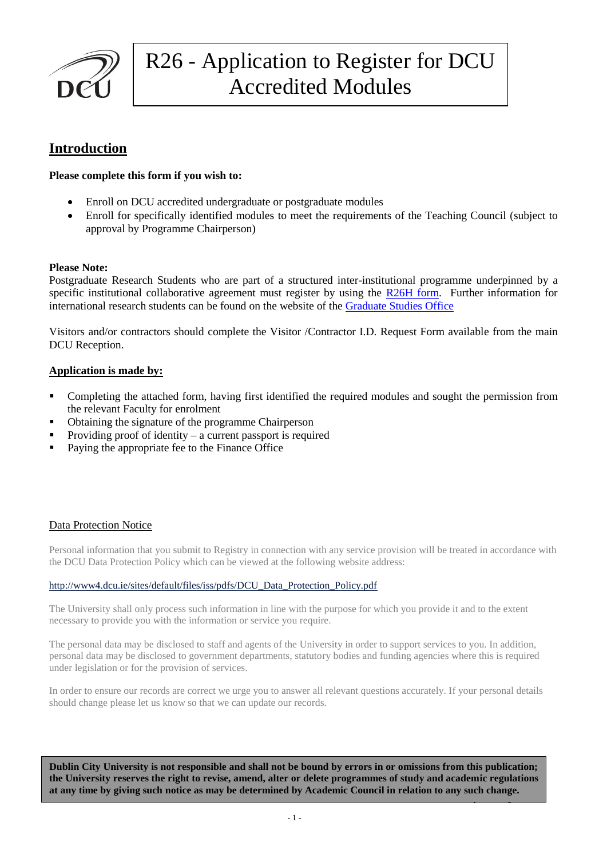

### **Introduction**

### **Please complete this form if you wish to:**

- Enroll on DCU accredited undergraduate or postgraduate modules
- Enroll for specifically identified modules to meet the requirements of the Teaching Council (subject to approval by Programme Chairperson)

### **Please Note:**

Postgraduate Research Students who are part of a structured inter-institutional programme underpinned by a specific institutional collaborative agreement must register by using the [R26H form.](../forms%20template%202014/R26%20Forms%20Different%20Types/R26H_Visiting_Research_Students%20Final%20Web%20version.doc) Further information for international research students can be found on the website of th[e Graduate Studies Office](http://www.dcu.ie/graduatestudies/postgrad-research.shtml)

Visitors and/or contractors should complete the Visitor /Contractor I.D. Request Form available from the main DCU Reception.

#### **Application is made by:**

- Completing the attached form, having first identified the required modules and sought the permission from the relevant Faculty for enrolment
- Obtaining the signature of the programme Chairperson
- Providing proof of identity a current passport is required
- Paying the appropriate fee to the Finance Office

### Data Protection Notice

Personal information that you submit to Registry in connection with any service provision will be treated in accordance with the DCU Data Protection Policy which can be viewed at the following website address:

#### [http://www4.dcu.ie/sites/default/files/iss/pdfs/DCU\\_Data\\_Protection\\_Policy.pdf](http://www4.dcu.ie/sites/default/files/iss/pdfs/DCU_Data_Protection_Policy.pdf)

The University shall only process such information in line with the purpose for which you provide it and to the extent necessary to provide you with the information or service you require.

The personal data may be disclosed to staff and agents of the University in order to support services to you. In addition, personal data may be disclosed to government departments, statutory bodies and funding agencies where this is required under legislation or for the provision of services.

In order to ensure our records are correct we urge you to answer all relevant questions accurately. If your personal details should change please let us know so that we can update our records.

Updated August 2014 **Dublin City University is not responsible and shall not be bound by errors in or omissions from this publication; the University reserves the right to revise, amend, alter or delete programmes of study and academic regulations at any time by giving such notice as may be determined by Academic Council in relation to any such change.**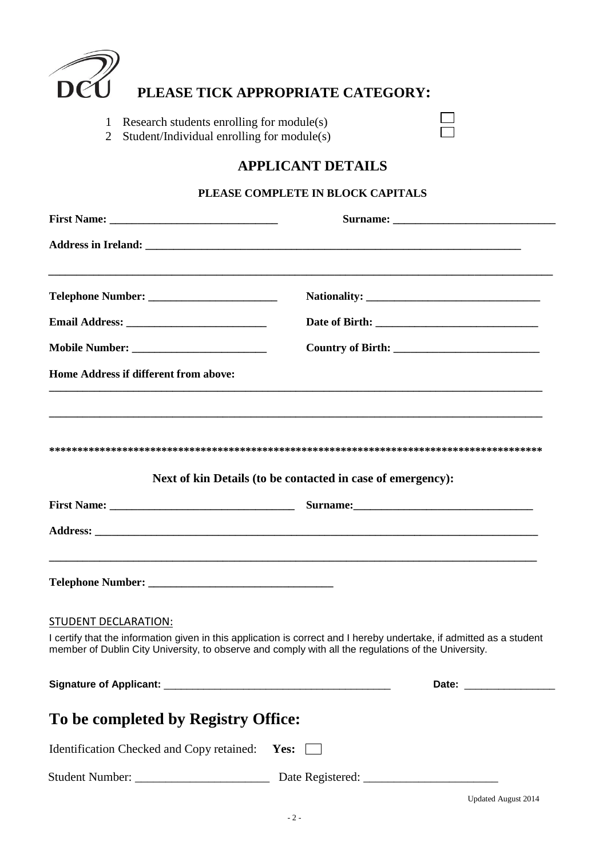

## **PLEASE TICK APPROPRIATE CATEGORY:**

1 Research students enrolling for module(s)

2 Student/Individual enrolling for module(s)

# **APPLICANT DETAILS**

 $\Box$ 

### **PLEASE COMPLETE IN BLOCK CAPITALS**

| <b>Home Address if different from above:</b>   |                                                                                                                                                                                                                             |
|------------------------------------------------|-----------------------------------------------------------------------------------------------------------------------------------------------------------------------------------------------------------------------------|
|                                                | Next of kin Details (to be contacted in case of emergency):                                                                                                                                                                 |
|                                                |                                                                                                                                                                                                                             |
|                                                |                                                                                                                                                                                                                             |
|                                                |                                                                                                                                                                                                                             |
| STUDENT DECLARATION:                           | I certify that the information given in this application is correct and I hereby undertake, if admitted as a student<br>member of Dublin City University, to observe and comply with all the regulations of the University. |
|                                                |                                                                                                                                                                                                                             |
| To be completed by Registry Office:            |                                                                                                                                                                                                                             |
| Identification Checked and Copy retained: Yes: |                                                                                                                                                                                                                             |
|                                                |                                                                                                                                                                                                                             |